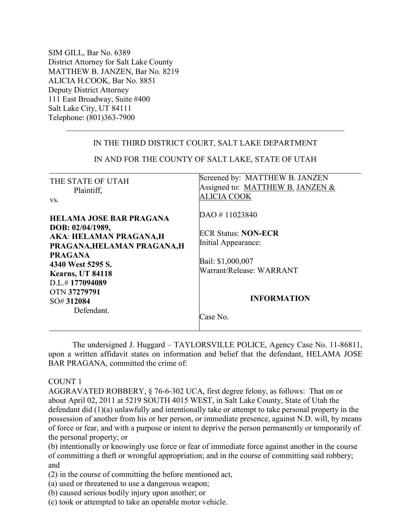SIM GILL, Bar No. 6389 District Attorney for Salt Lake County MATTHEW B. JANZEN, Bar No. 8219 ALICIA H.COOK, Bar No. 8851 Deputy District Attorney 111 East Broadway, Suite #400 Salt Lake City, UT 84111 Telephone: (801)363-7900

| IN THE THIRD DISTRICT COURT, SALT LAKE DEPARTMENT                                                                                                                                                                                   |                                                                                                                                                       |
|-------------------------------------------------------------------------------------------------------------------------------------------------------------------------------------------------------------------------------------|-------------------------------------------------------------------------------------------------------------------------------------------------------|
| IN AND FOR THE COUNTY OF SALT LAKE, STATE OF UTAH                                                                                                                                                                                   |                                                                                                                                                       |
| THE STATE OF UTAH<br>Plaintiff,<br>VS.                                                                                                                                                                                              | Screened by: MATTHEW B. JANZEN<br>Assigned to: MATTHEW B. JANZEN &<br>ALICIA COOK                                                                     |
| <b>HELAMA JOSE BAR PRAGANA</b><br>DOB: 02/04/1989,<br>AKA: HELAMAN PRAGANA,H<br>PRAGANA, HELAMAN PRAGANA, H<br><b>PRAGANA</b><br>4340 West 5295 S.<br>Kearns, UT 84118<br>D.L.#177094089<br>OTN 37279791<br>SO#312084<br>Defendant. | DAO #11023840<br><b>ECR Status: NON-ECR</b><br>Initial Appearance:<br>Bail: \$1,000,007<br>Warrant/Release: WARRANT<br><b>INFORMATION</b><br>Case No. |

 $\_$  , and the set of the set of the set of the set of the set of the set of the set of the set of the set of the set of the set of the set of the set of the set of the set of the set of the set of the set of the set of th

 The undersigned J. Huggard – TAYLORSVILLE POLICE, Agency Case No. 11-86811, upon a written affidavit states on information and belief that the defendant, HELAMA JOSE BAR PRAGANA, committed the crime of:

COUNT 1

AGGRAVATED ROBBERY, § 76-6-302 UCA, first degree felony, as follows: That on or about April 02, 2011 at 5219 SOUTH 4015 WEST, in Salt Lake County, State of Utah the defendant did (1)(a) unlawfully and intentionally take or attempt to take personal property in the possession of another from his or her person, or immediate presence, against N.D. will, by means of force or fear, and with a purpose or intent to deprive the person permanently or temporarily of the personal property; or

(b) intentionally or knowingly use force or fear of immediate force against another in the course of committing a theft or wrongful appropriation; and in the course of committing said robbery; and

(2) in the course of committing the before mentioned act,

(a) used or threatened to use a dangerous weapon;

(b) caused serious bodily injury upon another; or

(c) took or attempted to take an operable motor vehicle.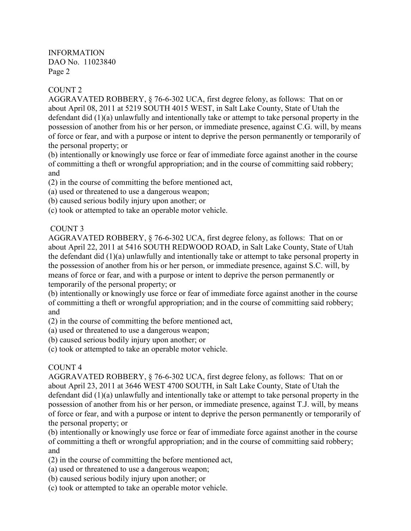## COUNT 2

AGGRAVATED ROBBERY, § 76-6-302 UCA, first degree felony, as follows: That on or about April 08, 2011 at 5219 SOUTH 4015 WEST, in Salt Lake County, State of Utah the defendant did (1)(a) unlawfully and intentionally take or attempt to take personal property in the possession of another from his or her person, or immediate presence, against C.G. will, by means of force or fear, and with a purpose or intent to deprive the person permanently or temporarily of the personal property; or

(b) intentionally or knowingly use force or fear of immediate force against another in the course of committing a theft or wrongful appropriation; and in the course of committing said robbery; and

- (2) in the course of committing the before mentioned act,
- (a) used or threatened to use a dangerous weapon;
- (b) caused serious bodily injury upon another; or
- (c) took or attempted to take an operable motor vehicle.

# COUNT 3

AGGRAVATED ROBBERY, § 76-6-302 UCA, first degree felony, as follows: That on or about April 22, 2011 at 5416 SOUTH REDWOOD ROAD, in Salt Lake County, State of Utah the defendant did (1)(a) unlawfully and intentionally take or attempt to take personal property in the possession of another from his or her person, or immediate presence, against S.C. will, by means of force or fear, and with a purpose or intent to deprive the person permanently or temporarily of the personal property; or

(b) intentionally or knowingly use force or fear of immediate force against another in the course of committing a theft or wrongful appropriation; and in the course of committing said robbery; and

(2) in the course of committing the before mentioned act,

- (a) used or threatened to use a dangerous weapon;
- (b) caused serious bodily injury upon another; or
- (c) took or attempted to take an operable motor vehicle.

## COUNT 4

AGGRAVATED ROBBERY, § 76-6-302 UCA, first degree felony, as follows: That on or about April 23, 2011 at 3646 WEST 4700 SOUTH, in Salt Lake County, State of Utah the defendant did (1)(a) unlawfully and intentionally take or attempt to take personal property in the possession of another from his or her person, or immediate presence, against T.J. will, by means of force or fear, and with a purpose or intent to deprive the person permanently or temporarily of the personal property; or

(b) intentionally or knowingly use force or fear of immediate force against another in the course of committing a theft or wrongful appropriation; and in the course of committing said robbery; and

- (2) in the course of committing the before mentioned act,
- (a) used or threatened to use a dangerous weapon;
- (b) caused serious bodily injury upon another; or
- (c) took or attempted to take an operable motor vehicle.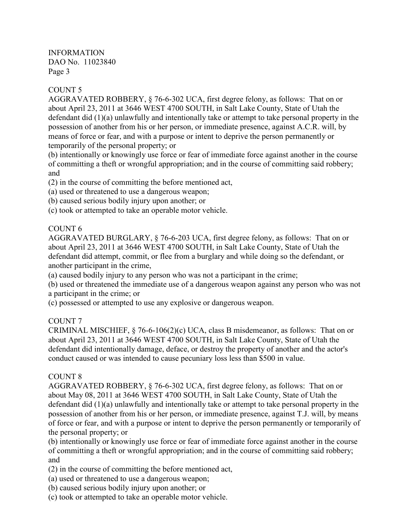## COUNT 5

AGGRAVATED ROBBERY, § 76-6-302 UCA, first degree felony, as follows: That on or about April 23, 2011 at 3646 WEST 4700 SOUTH, in Salt Lake County, State of Utah the defendant did (1)(a) unlawfully and intentionally take or attempt to take personal property in the possession of another from his or her person, or immediate presence, against A.C.R. will, by means of force or fear, and with a purpose or intent to deprive the person permanently or temporarily of the personal property; or

(b) intentionally or knowingly use force or fear of immediate force against another in the course of committing a theft or wrongful appropriation; and in the course of committing said robbery; and

(2) in the course of committing the before mentioned act,

(a) used or threatened to use a dangerous weapon;

(b) caused serious bodily injury upon another; or

(c) took or attempted to take an operable motor vehicle.

## COUNT 6

AGGRAVATED BURGLARY, § 76-6-203 UCA, first degree felony, as follows: That on or about April 23, 2011 at 3646 WEST 4700 SOUTH, in Salt Lake County, State of Utah the defendant did attempt, commit, or flee from a burglary and while doing so the defendant, or another participant in the crime,

(a) caused bodily injury to any person who was not a participant in the crime;

(b) used or threatened the immediate use of a dangerous weapon against any person who was not a participant in the crime; or

(c) possessed or attempted to use any explosive or dangerous weapon.

## COUNT 7

CRIMINAL MISCHIEF, § 76-6-106(2)(c) UCA, class B misdemeanor, as follows: That on or about April 23, 2011 at 3646 WEST 4700 SOUTH, in Salt Lake County, State of Utah the defendant did intentionally damage, deface, or destroy the property of another and the actor's conduct caused or was intended to cause pecuniary loss less than \$500 in value.

## COUNT 8

AGGRAVATED ROBBERY, § 76-6-302 UCA, first degree felony, as follows: That on or about May 08, 2011 at 3646 WEST 4700 SOUTH, in Salt Lake County, State of Utah the defendant did (1)(a) unlawfully and intentionally take or attempt to take personal property in the possession of another from his or her person, or immediate presence, against T.J. will, by means of force or fear, and with a purpose or intent to deprive the person permanently or temporarily of the personal property; or

(b) intentionally or knowingly use force or fear of immediate force against another in the course of committing a theft or wrongful appropriation; and in the course of committing said robbery; and

(2) in the course of committing the before mentioned act,

(a) used or threatened to use a dangerous weapon;

(b) caused serious bodily injury upon another; or

(c) took or attempted to take an operable motor vehicle.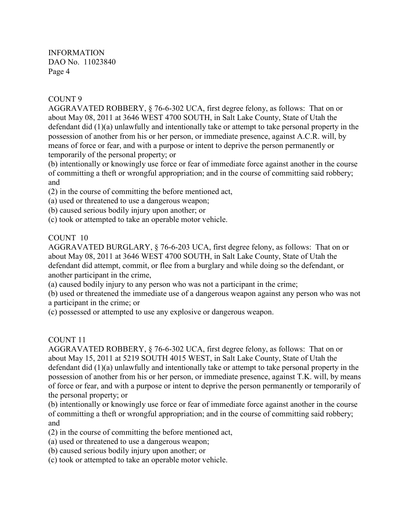#### COUNT 9

AGGRAVATED ROBBERY, § 76-6-302 UCA, first degree felony, as follows: That on or about May 08, 2011 at 3646 WEST 4700 SOUTH, in Salt Lake County, State of Utah the defendant did (1)(a) unlawfully and intentionally take or attempt to take personal property in the possession of another from his or her person, or immediate presence, against A.C.R. will, by means of force or fear, and with a purpose or intent to deprive the person permanently or temporarily of the personal property; or

(b) intentionally or knowingly use force or fear of immediate force against another in the course of committing a theft or wrongful appropriation; and in the course of committing said robbery; and

(2) in the course of committing the before mentioned act,

- (a) used or threatened to use a dangerous weapon;
- (b) caused serious bodily injury upon another; or
- (c) took or attempted to take an operable motor vehicle.

## COUNT 10

AGGRAVATED BURGLARY, § 76-6-203 UCA, first degree felony, as follows: That on or about May 08, 2011 at 3646 WEST 4700 SOUTH, in Salt Lake County, State of Utah the defendant did attempt, commit, or flee from a burglary and while doing so the defendant, or another participant in the crime,

(a) caused bodily injury to any person who was not a participant in the crime;

(b) used or threatened the immediate use of a dangerous weapon against any person who was not a participant in the crime; or

(c) possessed or attempted to use any explosive or dangerous weapon.

## COUNT 11

AGGRAVATED ROBBERY, § 76-6-302 UCA, first degree felony, as follows: That on or about May 15, 2011 at 5219 SOUTH 4015 WEST, in Salt Lake County, State of Utah the defendant did (1)(a) unlawfully and intentionally take or attempt to take personal property in the possession of another from his or her person, or immediate presence, against T.K. will, by means of force or fear, and with a purpose or intent to deprive the person permanently or temporarily of the personal property; or

(b) intentionally or knowingly use force or fear of immediate force against another in the course of committing a theft or wrongful appropriation; and in the course of committing said robbery; and

(2) in the course of committing the before mentioned act,

- (a) used or threatened to use a dangerous weapon;
- (b) caused serious bodily injury upon another; or

(c) took or attempted to take an operable motor vehicle.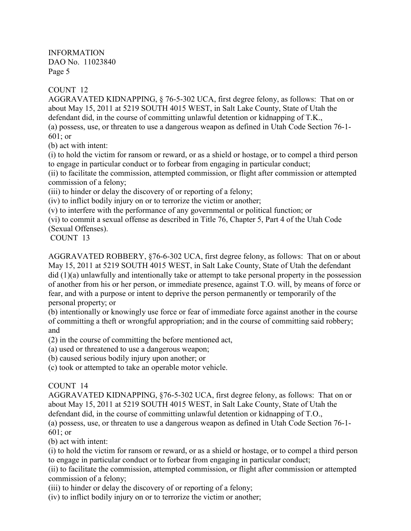## COUNT 12

AGGRAVATED KIDNAPPING, § 76-5-302 UCA, first degree felony, as follows: That on or about May 15, 2011 at 5219 SOUTH 4015 WEST, in Salt Lake County, State of Utah the defendant did, in the course of committing unlawful detention or kidnapping of T.K.,

(a) possess, use, or threaten to use a dangerous weapon as defined in Utah Code Section 76-1- 601; or

(b) act with intent:

(i) to hold the victim for ransom or reward, or as a shield or hostage, or to compel a third person to engage in particular conduct or to forbear from engaging in particular conduct;

(ii) to facilitate the commission, attempted commission, or flight after commission or attempted commission of a felony;

(iii) to hinder or delay the discovery of or reporting of a felony;

(iv) to inflict bodily injury on or to terrorize the victim or another;

(v) to interfere with the performance of any governmental or political function; or

(vi) to commit a sexual offense as described in Title 76, Chapter 5, Part 4 of the Utah Code (Sexual Offenses).

COUNT 13

AGGRAVATED ROBBERY, §76-6-302 UCA, first degree felony, as follows: That on or about May 15, 2011 at 5219 SOUTH 4015 WEST, in Salt Lake County, State of Utah the defendant did (1)(a) unlawfully and intentionally take or attempt to take personal property in the possession of another from his or her person, or immediate presence, against T.O. will, by means of force or fear, and with a purpose or intent to deprive the person permanently or temporarily of the personal property; or

(b) intentionally or knowingly use force or fear of immediate force against another in the course of committing a theft or wrongful appropriation; and in the course of committing said robbery; and

(2) in the course of committing the before mentioned act,

(a) used or threatened to use a dangerous weapon;

(b) caused serious bodily injury upon another; or

(c) took or attempted to take an operable motor vehicle.

## COUNT 14

AGGRAVATED KIDNAPPING, §76-5-302 UCA, first degree felony, as follows: That on or about May 15, 2011 at 5219 SOUTH 4015 WEST, in Salt Lake County, State of Utah the defendant did, in the course of committing unlawful detention or kidnapping of T.O.,

(a) possess, use, or threaten to use a dangerous weapon as defined in Utah Code Section 76-1- 601; or

(b) act with intent:

(i) to hold the victim for ransom or reward, or as a shield or hostage, or to compel a third person to engage in particular conduct or to forbear from engaging in particular conduct;

(ii) to facilitate the commission, attempted commission, or flight after commission or attempted commission of a felony;

(iii) to hinder or delay the discovery of or reporting of a felony;

(iv) to inflict bodily injury on or to terrorize the victim or another;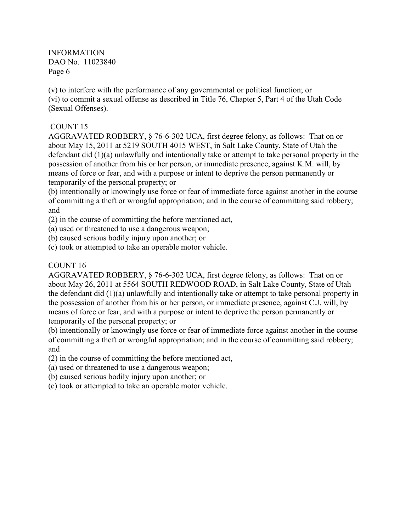(v) to interfere with the performance of any governmental or political function; or (vi) to commit a sexual offense as described in Title 76, Chapter 5, Part 4 of the Utah Code (Sexual Offenses).

## COUNT 15

AGGRAVATED ROBBERY, § 76-6-302 UCA, first degree felony, as follows: That on or about May 15, 2011 at 5219 SOUTH 4015 WEST, in Salt Lake County, State of Utah the defendant did (1)(a) unlawfully and intentionally take or attempt to take personal property in the possession of another from his or her person, or immediate presence, against K.M. will, by means of force or fear, and with a purpose or intent to deprive the person permanently or temporarily of the personal property; or

(b) intentionally or knowingly use force or fear of immediate force against another in the course of committing a theft or wrongful appropriation; and in the course of committing said robbery; and

(2) in the course of committing the before mentioned act,

(a) used or threatened to use a dangerous weapon;

(b) caused serious bodily injury upon another; or

(c) took or attempted to take an operable motor vehicle.

## COUNT 16

AGGRAVATED ROBBERY, § 76-6-302 UCA, first degree felony, as follows: That on or about May 26, 2011 at 5564 SOUTH REDWOOD ROAD, in Salt Lake County, State of Utah the defendant did (1)(a) unlawfully and intentionally take or attempt to take personal property in the possession of another from his or her person, or immediate presence, against C.J. will, by means of force or fear, and with a purpose or intent to deprive the person permanently or temporarily of the personal property; or

(b) intentionally or knowingly use force or fear of immediate force against another in the course of committing a theft or wrongful appropriation; and in the course of committing said robbery; and

- (2) in the course of committing the before mentioned act,
- (a) used or threatened to use a dangerous weapon;
- (b) caused serious bodily injury upon another; or
- (c) took or attempted to take an operable motor vehicle.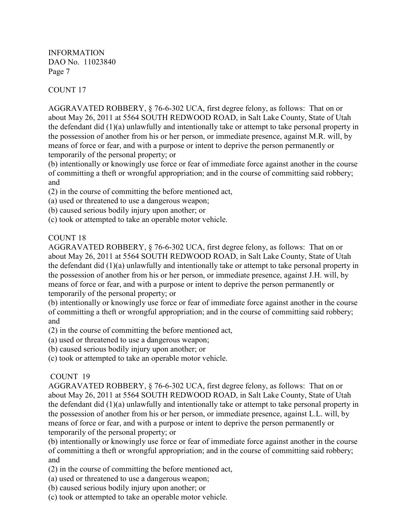# COUNT 17

AGGRAVATED ROBBERY, § 76-6-302 UCA, first degree felony, as follows: That on or about May 26, 2011 at 5564 SOUTH REDWOOD ROAD, in Salt Lake County, State of Utah the defendant did (1)(a) unlawfully and intentionally take or attempt to take personal property in the possession of another from his or her person, or immediate presence, against M.R. will, by means of force or fear, and with a purpose or intent to deprive the person permanently or temporarily of the personal property; or

(b) intentionally or knowingly use force or fear of immediate force against another in the course of committing a theft or wrongful appropriation; and in the course of committing said robbery; and

- (2) in the course of committing the before mentioned act,
- (a) used or threatened to use a dangerous weapon;
- (b) caused serious bodily injury upon another; or
- (c) took or attempted to take an operable motor vehicle.

## COUNT<sub>18</sub>

AGGRAVATED ROBBERY, § 76-6-302 UCA, first degree felony, as follows: That on or about May 26, 2011 at 5564 SOUTH REDWOOD ROAD, in Salt Lake County, State of Utah the defendant did (1)(a) unlawfully and intentionally take or attempt to take personal property in the possession of another from his or her person, or immediate presence, against J.H. will, by means of force or fear, and with a purpose or intent to deprive the person permanently or temporarily of the personal property; or

(b) intentionally or knowingly use force or fear of immediate force against another in the course of committing a theft or wrongful appropriation; and in the course of committing said robbery; and

(2) in the course of committing the before mentioned act,

(a) used or threatened to use a dangerous weapon;

(b) caused serious bodily injury upon another; or

(c) took or attempted to take an operable motor vehicle.

## COUNT 19

AGGRAVATED ROBBERY, § 76-6-302 UCA, first degree felony, as follows: That on or about May 26, 2011 at 5564 SOUTH REDWOOD ROAD, in Salt Lake County, State of Utah the defendant did (1)(a) unlawfully and intentionally take or attempt to take personal property in the possession of another from his or her person, or immediate presence, against L.L. will, by means of force or fear, and with a purpose or intent to deprive the person permanently or temporarily of the personal property; or

(b) intentionally or knowingly use force or fear of immediate force against another in the course of committing a theft or wrongful appropriation; and in the course of committing said robbery; and

(2) in the course of committing the before mentioned act,

(a) used or threatened to use a dangerous weapon;

(b) caused serious bodily injury upon another; or

(c) took or attempted to take an operable motor vehicle.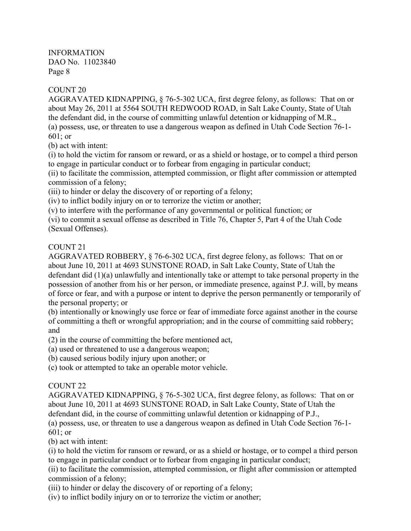## COUNT 20

AGGRAVATED KIDNAPPING, § 76-5-302 UCA, first degree felony, as follows: That on or about May 26, 2011 at 5564 SOUTH REDWOOD ROAD, in Salt Lake County, State of Utah the defendant did, in the course of committing unlawful detention or kidnapping of M.R.,

(a) possess, use, or threaten to use a dangerous weapon as defined in Utah Code Section 76-1- 601; or

(b) act with intent:

(i) to hold the victim for ransom or reward, or as a shield or hostage, or to compel a third person to engage in particular conduct or to forbear from engaging in particular conduct;

(ii) to facilitate the commission, attempted commission, or flight after commission or attempted commission of a felony;

(iii) to hinder or delay the discovery of or reporting of a felony;

(iv) to inflict bodily injury on or to terrorize the victim or another;

(v) to interfere with the performance of any governmental or political function; or

(vi) to commit a sexual offense as described in Title 76, Chapter 5, Part 4 of the Utah Code (Sexual Offenses).

## COUNT 21

AGGRAVATED ROBBERY, § 76-6-302 UCA, first degree felony, as follows: That on or about June 10, 2011 at 4693 SUNSTONE ROAD, in Salt Lake County, State of Utah the defendant did (1)(a) unlawfully and intentionally take or attempt to take personal property in the possession of another from his or her person, or immediate presence, against P.J. will, by means of force or fear, and with a purpose or intent to deprive the person permanently or temporarily of the personal property; or

(b) intentionally or knowingly use force or fear of immediate force against another in the course of committing a theft or wrongful appropriation; and in the course of committing said robbery; and

(2) in the course of committing the before mentioned act,

(a) used or threatened to use a dangerous weapon;

(b) caused serious bodily injury upon another; or

(c) took or attempted to take an operable motor vehicle.

## COUNT 22

AGGRAVATED KIDNAPPING, § 76-5-302 UCA, first degree felony, as follows: That on or about June 10, 2011 at 4693 SUNSTONE ROAD, in Salt Lake County, State of Utah the defendant did, in the course of committing unlawful detention or kidnapping of P.J.,

(a) possess, use, or threaten to use a dangerous weapon as defined in Utah Code Section 76-1- 601; or

(b) act with intent:

(i) to hold the victim for ransom or reward, or as a shield or hostage, or to compel a third person to engage in particular conduct or to forbear from engaging in particular conduct;

(ii) to facilitate the commission, attempted commission, or flight after commission or attempted commission of a felony;

(iii) to hinder or delay the discovery of or reporting of a felony;

(iv) to inflict bodily injury on or to terrorize the victim or another;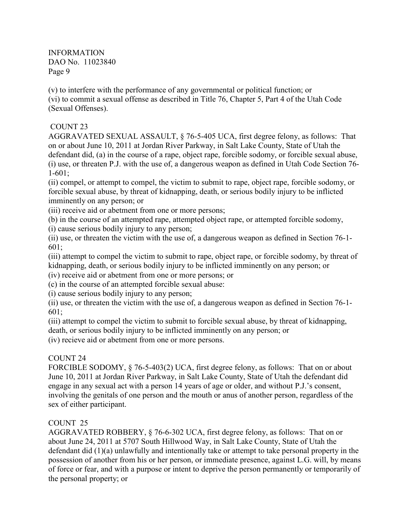(v) to interfere with the performance of any governmental or political function; or (vi) to commit a sexual offense as described in Title 76, Chapter 5, Part 4 of the Utah Code (Sexual Offenses).

## COUNT 23

AGGRAVATED SEXUAL ASSAULT, § 76-5-405 UCA, first degree felony, as follows: That on or about June 10, 2011 at Jordan River Parkway, in Salt Lake County, State of Utah the defendant did, (a) in the course of a rape, object rape, forcible sodomy, or forcible sexual abuse, (i) use, or threaten P.J. with the use of, a dangerous weapon as defined in Utah Code Section 76- 1-601;

(ii) compel, or attempt to compel, the victim to submit to rape, object rape, forcible sodomy, or forcible sexual abuse, by threat of kidnapping, death, or serious bodily injury to be inflicted imminently on any person; or

(iii) receive aid or abetment from one or more persons;

(b) in the course of an attempted rape, attempted object rape, or attempted forcible sodomy,

(i) cause serious bodily injury to any person;

(ii) use, or threaten the victim with the use of, a dangerous weapon as defined in Section 76-1- 601;

(iii) attempt to compel the victim to submit to rape, object rape, or forcible sodomy, by threat of kidnapping, death, or serious bodily injury to be inflicted imminently on any person; or

(iv) receive aid or abetment from one or more persons; or

(c) in the course of an attempted forcible sexual abuse:

(i) cause serious bodily injury to any person;

(ii) use, or threaten the victim with the use of, a dangerous weapon as defined in Section 76-1- 601;

(iii) attempt to compel the victim to submit to forcible sexual abuse, by threat of kidnapping, death, or serious bodily injury to be inflicted imminently on any person; or

(iv) recieve aid or abetment from one or more persons.

## COUNT 24

FORCIBLE SODOMY, § 76-5-403(2) UCA, first degree felony, as follows: That on or about June 10, 2011 at Jordan River Parkway, in Salt Lake County, State of Utah the defendant did engage in any sexual act with a person 14 years of age or older, and without P.J.'s consent, involving the genitals of one person and the mouth or anus of another person, regardless of the sex of either participant.

# COUNT 25

AGGRAVATED ROBBERY, § 76-6-302 UCA, first degree felony, as follows: That on or about June 24, 2011 at 5707 South Hillwood Way, in Salt Lake County, State of Utah the defendant did  $(1)(a)$  unlawfully and intentionally take or attempt to take personal property in the possession of another from his or her person, or immediate presence, against L.G. will, by means of force or fear, and with a purpose or intent to deprive the person permanently or temporarily of the personal property; or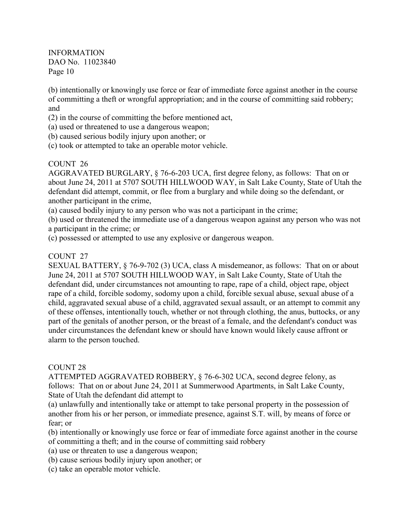(b) intentionally or knowingly use force or fear of immediate force against another in the course of committing a theft or wrongful appropriation; and in the course of committing said robbery; and

- (2) in the course of committing the before mentioned act,
- (a) used or threatened to use a dangerous weapon;
- (b) caused serious bodily injury upon another; or
- (c) took or attempted to take an operable motor vehicle.

#### COUNT 26

AGGRAVATED BURGLARY, § 76-6-203 UCA, first degree felony, as follows: That on or about June 24, 2011 at 5707 SOUTH HILLWOOD WAY, in Salt Lake County, State of Utah the defendant did attempt, commit, or flee from a burglary and while doing so the defendant, or another participant in the crime,

(a) caused bodily injury to any person who was not a participant in the crime;

(b) used or threatened the immediate use of a dangerous weapon against any person who was not a participant in the crime; or

(c) possessed or attempted to use any explosive or dangerous weapon.

#### COUNT 27

SEXUAL BATTERY, § 76-9-702 (3) UCA, class A misdemeanor, as follows: That on or about June 24, 2011 at 5707 SOUTH HILLWOOD WAY, in Salt Lake County, State of Utah the defendant did, under circumstances not amounting to rape, rape of a child, object rape, object rape of a child, forcible sodomy, sodomy upon a child, forcible sexual abuse, sexual abuse of a child, aggravated sexual abuse of a child, aggravated sexual assault, or an attempt to commit any of these offenses, intentionally touch, whether or not through clothing, the anus, buttocks, or any part of the genitals of another person, or the breast of a female, and the defendant's conduct was under circumstances the defendant knew or should have known would likely cause affront or alarm to the person touched.

#### COUNT 28

ATTEMPTED AGGRAVATED ROBBERY, § 76-6-302 UCA, second degree felony, as follows: That on or about June 24, 2011 at Summerwood Apartments, in Salt Lake County, State of Utah the defendant did attempt to

(a) unlawfully and intentionally take or attempt to take personal property in the possession of another from his or her person, or immediate presence, against S.T. will, by means of force or fear; or

(b) intentionally or knowingly use force or fear of immediate force against another in the course of committing a theft; and in the course of committing said robbery

- (a) use or threaten to use a dangerous weapon;
- (b) cause serious bodily injury upon another; or
- (c) take an operable motor vehicle.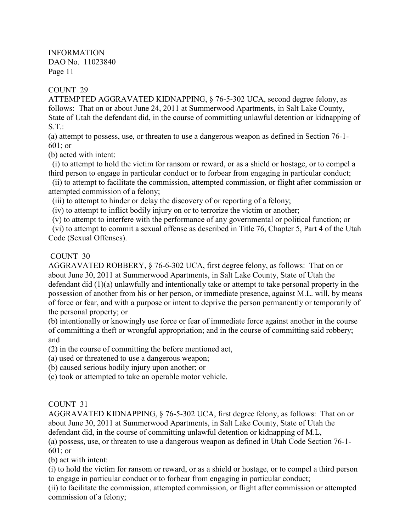### COUNT 29

ATTEMPTED AGGRAVATED KIDNAPPING, § 76-5-302 UCA, second degree felony, as follows: That on or about June 24, 2011 at Summerwood Apartments, in Salt Lake County, State of Utah the defendant did, in the course of committing unlawful detention or kidnapping of  $S.T.$ :

(a) attempt to possess, use, or threaten to use a dangerous weapon as defined in Section 76-1- 601; or

(b) acted with intent:

 (i) to attempt to hold the victim for ransom or reward, or as a shield or hostage, or to compel a third person to engage in particular conduct or to forbear from engaging in particular conduct;

 (ii) to attempt to facilitate the commission, attempted commission, or flight after commission or attempted commission of a felony;

(iii) to attempt to hinder or delay the discovery of or reporting of a felony;

(iv) to attempt to inflict bodily injury on or to terrorize the victim or another;

(v) to attempt to interfere with the performance of any governmental or political function; or

 (vi) to attempt to commit a sexual offense as described in Title 76, Chapter 5, Part 4 of the Utah Code (Sexual Offenses).

#### COUNT 30

AGGRAVATED ROBBERY, § 76-6-302 UCA, first degree felony, as follows: That on or about June 30, 2011 at Summerwood Apartments, in Salt Lake County, State of Utah the defendant did (1)(a) unlawfully and intentionally take or attempt to take personal property in the possession of another from his or her person, or immediate presence, against M.L. will, by means of force or fear, and with a purpose or intent to deprive the person permanently or temporarily of the personal property; or

(b) intentionally or knowingly use force or fear of immediate force against another in the course of committing a theft or wrongful appropriation; and in the course of committing said robbery; and

(2) in the course of committing the before mentioned act,

(a) used or threatened to use a dangerous weapon;

(b) caused serious bodily injury upon another; or

(c) took or attempted to take an operable motor vehicle.

## COUNT 31

AGGRAVATED KIDNAPPING, § 76-5-302 UCA, first degree felony, as follows: That on or about June 30, 2011 at Summerwood Apartments, in Salt Lake County, State of Utah the defendant did, in the course of committing unlawful detention or kidnapping of M.L,

(a) possess, use, or threaten to use a dangerous weapon as defined in Utah Code Section 76-1- 601; or

(b) act with intent:

(i) to hold the victim for ransom or reward, or as a shield or hostage, or to compel a third person to engage in particular conduct or to forbear from engaging in particular conduct;

(ii) to facilitate the commission, attempted commission, or flight after commission or attempted commission of a felony;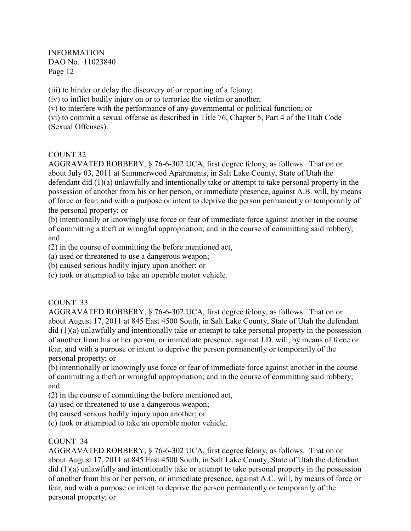(iii) to hinder or delay the discovery of or reporting of a felony;

(iv) to inflict bodily injury on or to terrorize the victim or another;

(v) to interfere with the performance of any governmental or political function; or

(vi) to commit a sexual offense as described in Title 76, Chapter 5, Part 4 of the Utah Code (Sexual Offenses).

## COUNT 32

AGGRAVATED ROBBERY, § 76-6-302 UCA, first degree felony, as follows: That on or about July 03, 2011 at Summerwood Apartments, in Salt Lake County, State of Utah the defendant did (1)(a) unlawfully and intentionally take or attempt to take personal property in the possession of another from his or her person, or immediate presence, against A.B. will, by means of force or fear, and with a purpose or intent to deprive the person permanently or temporarily of the personal property; or

(b) intentionally or knowingly use force or fear of immediate force against another in the course of committing a theft or wrongful appropriation; and in the course of committing said robbery; and

(2) in the course of committing the before mentioned act,

(a) used or threatened to use a dangerous weapon;

(b) caused serious bodily injury upon another; or

(c) took or attempted to take an operable motor vehicle.

## COUNT 33

AGGRAVATED ROBBERY, § 76-6-302 UCA, first degree felony, as follows: That on or about August 17, 2011 at 845 East 4500 South, in Salt Lake County, State of Utah the defendant did (1)(a) unlawfully and intentionally take or attempt to take personal property in the possession of another from his or her person, or immediate presence, against J.D. will, by means of force or fear, and with a purpose or intent to deprive the person permanently or temporarily of the personal property; or

(b) intentionally or knowingly use force or fear of immediate force against another in the course of committing a theft or wrongful appropriation; and in the course of committing said robbery; and

- (2) in the course of committing the before mentioned act,
- (a) used or threatened to use a dangerous weapon;
- (b) caused serious bodily injury upon another; or
- (c) took or attempted to take an operable motor vehicle.

## COUNT 34

AGGRAVATED ROBBERY, § 76-6-302 UCA, first degree felony, as follows: That on or about August 17, 2011 at 845 East 4500 South, in Salt Lake County, State of Utah the defendant did (1)(a) unlawfully and intentionally take or attempt to take personal property in the possession of another from his or her person, or immediate presence, against A.C. will, by means of force or fear, and with a purpose or intent to deprive the person permanently or temporarily of the personal property; or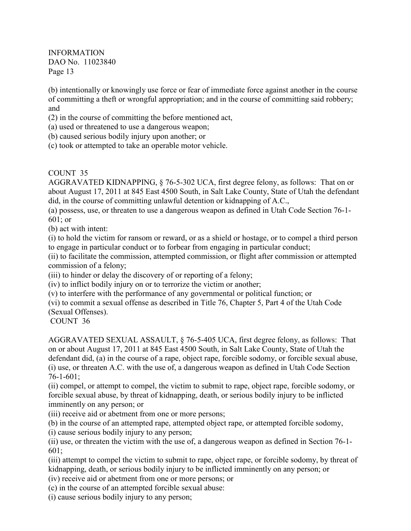(b) intentionally or knowingly use force or fear of immediate force against another in the course of committing a theft or wrongful appropriation; and in the course of committing said robbery; and

(2) in the course of committing the before mentioned act,

(a) used or threatened to use a dangerous weapon;

(b) caused serious bodily injury upon another; or

(c) took or attempted to take an operable motor vehicle.

COUNT 35

AGGRAVATED KIDNAPPING, § 76-5-302 UCA, first degree felony, as follows: That on or about August 17, 2011 at 845 East 4500 South, in Salt Lake County, State of Utah the defendant did, in the course of committing unlawful detention or kidnapping of A.C.,

(a) possess, use, or threaten to use a dangerous weapon as defined in Utah Code Section 76-1- 601; or

(b) act with intent:

(i) to hold the victim for ransom or reward, or as a shield or hostage, or to compel a third person to engage in particular conduct or to forbear from engaging in particular conduct;

(ii) to facilitate the commission, attempted commission, or flight after commission or attempted commission of a felony;

(iii) to hinder or delay the discovery of or reporting of a felony;

(iv) to inflict bodily injury on or to terrorize the victim or another;

(v) to interfere with the performance of any governmental or political function; or

(vi) to commit a sexual offense as described in Title 76, Chapter 5, Part 4 of the Utah Code (Sexual Offenses).

COUNT 36

AGGRAVATED SEXUAL ASSAULT, § 76-5-405 UCA, first degree felony, as follows: That on or about August 17, 2011 at 845 East 4500 South, in Salt Lake County, State of Utah the defendant did, (a) in the course of a rape, object rape, forcible sodomy, or forcible sexual abuse, (i) use, or threaten A.C. with the use of, a dangerous weapon as defined in Utah Code Section 76-1-601;

(ii) compel, or attempt to compel, the victim to submit to rape, object rape, forcible sodomy, or forcible sexual abuse, by threat of kidnapping, death, or serious bodily injury to be inflicted imminently on any person; or

(iii) receive aid or abetment from one or more persons;

(b) in the course of an attempted rape, attempted object rape, or attempted forcible sodomy,

(i) cause serious bodily injury to any person;

(ii) use, or threaten the victim with the use of, a dangerous weapon as defined in Section 76-1- 601;

(iii) attempt to compel the victim to submit to rape, object rape, or forcible sodomy, by threat of kidnapping, death, or serious bodily injury to be inflicted imminently on any person; or

(iv) receive aid or abetment from one or more persons; or

(c) in the course of an attempted forcible sexual abuse:

(i) cause serious bodily injury to any person;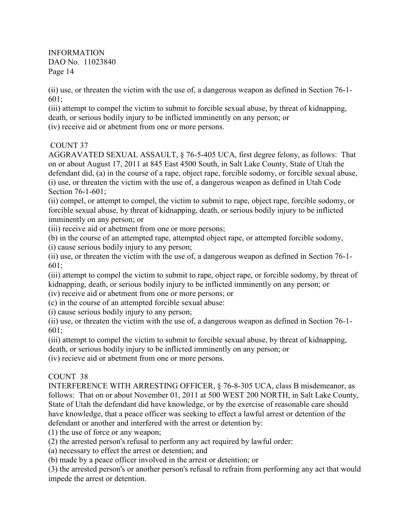(ii) use, or threaten the victim with the use of, a dangerous weapon as defined in Section 76-1- 601;

(iii) attempt to compel the victim to submit to forcible sexual abuse, by threat of kidnapping, death, or serious bodily injury to be inflicted imminently on any person; or (iv) receive aid or abetment from one or more persons.

## COUNT 37

AGGRAVATED SEXUAL ASSAULT, § 76-5-405 UCA, first degree felony, as follows: That on or about August 17, 2011 at 845 East 4500 South, in Salt Lake County, State of Utah the defendant did, (a) in the course of a rape, object rape, forcible sodomy, or forcible sexual abuse, (i) use, or threaten the victim with the use of, a dangerous weapon as defined in Utah Code Section 76-1-601;

(ii) compel, or attempt to compel, the victim to submit to rape, object rape, forcible sodomy, or forcible sexual abuse, by threat of kidnapping, death, or serious bodily injury to be inflicted imminently on any person; or

(iii) receive aid or abetment from one or more persons;

(b) in the course of an attempted rape, attempted object rape, or attempted forcible sodomy,

(i) cause serious bodily injury to any person;

(ii) use, or threaten the victim with the use of, a dangerous weapon as defined in Section 76-1- 601;

(iii) attempt to compel the victim to submit to rape, object rape, or forcible sodomy, by threat of kidnapping, death, or serious bodily injury to be inflicted imminently on any person; or

(iv) receive aid or abetment from one or more persons; or

(c) in the course of an attempted forcible sexual abuse:

(i) cause serious bodily injury to any person;

(ii) use, or threaten the victim with the use of, a dangerous weapon as defined in Section 76-1- 601;

(iii) attempt to compel the victim to submit to forcible sexual abuse, by threat of kidnapping, death, or serious bodily injury to be inflicted imminently on any person; or

(iv) recieve aid or abetment from one or more persons.

## COUNT 38

INTERFERENCE WITH ARRESTING OFFICER, § 76-8-305 UCA, class B misdemeanor, as follows: That on or about November 01, 2011 at 500 WEST 200 NORTH, in Salt Lake County, State of Utah the defendant did have knowledge, or by the exercise of reasonable care should have knowledge, that a peace officer was seeking to effect a lawful arrest or detention of the defendant or another and interfered with the arrest or detention by:

(1) the use of force or any weapon;

(2) the arrested person's refusal to perform any act required by lawful order:

(a) necessary to effect the arrest or detention; and

(b) made by a peace officer involved in the arrest or detention; or

(3) the arrested person's or another person's refusal to refrain from performing any act that would impede the arrest or detention.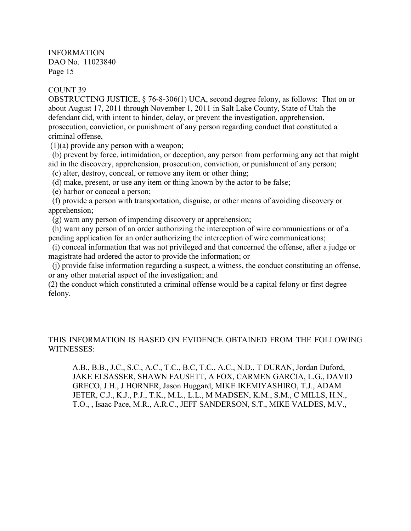#### COUNT 39

OBSTRUCTING JUSTICE, § 76-8-306(1) UCA, second degree felony, as follows: That on or about August 17, 2011 through November 1, 2011 in Salt Lake County, State of Utah the defendant did, with intent to hinder, delay, or prevent the investigation, apprehension, prosecution, conviction, or punishment of any person regarding conduct that constituted a criminal offense,

(1)(a) provide any person with a weapon;

 (b) prevent by force, intimidation, or deception, any person from performing any act that might aid in the discovery, apprehension, prosecution, conviction, or punishment of any person;

(c) alter, destroy, conceal, or remove any item or other thing;

(d) make, present, or use any item or thing known by the actor to be false;

(e) harbor or conceal a person;

 (f) provide a person with transportation, disguise, or other means of avoiding discovery or apprehension;

(g) warn any person of impending discovery or apprehension;

 (h) warn any person of an order authorizing the interception of wire communications or of a pending application for an order authorizing the interception of wire communications;

 (i) conceal information that was not privileged and that concerned the offense, after a judge or magistrate had ordered the actor to provide the information; or

 (j) provide false information regarding a suspect, a witness, the conduct constituting an offense, or any other material aspect of the investigation; and

(2) the conduct which constituted a criminal offense would be a capital felony or first degree felony.

THIS INFORMATION IS BASED ON EVIDENCE OBTAINED FROM THE FOLLOWING WITNESSES<sup>.</sup>

A.B., B.B., J.C., S.C., A.C., T.C., B.C, T.C., A.C., N.D., T DURAN, Jordan Duford, JAKE ELSASSER, SHAWN FAUSETT, A FOX, CARMEN GARCIA, L.G., DAVID GRECO, J.H., J HORNER, Jason Huggard, MIKE IKEMIYASHIRO, T.J., ADAM JETER, C.J., K.J., P.J., T.K., M.L., L.L., M MADSEN, K.M., S.M., C MILLS, H.N., T.O., , Isaac Pace, M.R., A.R.C., JEFF SANDERSON, S.T., MIKE VALDES, M.V.,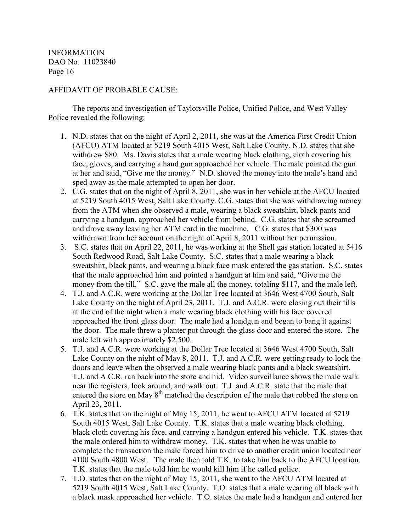#### AFFIDAVIT OF PROBABLE CAUSE:

 The reports and investigation of Taylorsville Police, Unified Police, and West Valley Police revealed the following:

- 1. N.D. states that on the night of April 2, 2011, she was at the America First Credit Union (AFCU) ATM located at 5219 South 4015 West, Salt Lake County. N.D. states that she withdrew \$80. Ms. Davis states that a male wearing black clothing, cloth covering his face, gloves, and carrying a hand gun approached her vehicle. The male pointed the gun at her and said, "Give me the money." N.D. shoved the money into the male's hand and sped away as the male attempted to open her door.
- 2. C.G. states that on the night of April 8, 2011, she was in her vehicle at the AFCU located at 5219 South 4015 West, Salt Lake County. C.G. states that she was withdrawing money from the ATM when she observed a male, wearing a black sweatshirt, black pants and carrying a handgun, approached her vehicle from behind. C.G. states that she screamed and drove away leaving her ATM card in the machine. C.G. states that \$300 was withdrawn from her account on the night of April 8, 2011 without her permission.
- 3. S.C. states that on April 22, 2011, he was working at the Shell gas station located at 5416 South Redwood Road, Salt Lake County. S.C. states that a male wearing a black sweatshirt, black pants, and wearing a black face mask entered the gas station. S.C. states that the male approached him and pointed a handgun at him and said, "Give me the money from the till." S.C. gave the male all the money, totaling \$117, and the male left.
- 4. T.J. and A.C.R. were working at the Dollar Tree located at 3646 West 4700 South, Salt Lake County on the night of April 23, 2011. T.J. and A.C.R. were closing out their tills at the end of the night when a male wearing black clothing with his face covered approached the front glass door. The male had a handgun and began to bang it against the door. The male threw a planter pot through the glass door and entered the store. The male left with approximately \$2,500.
- 5. T.J. and A.C.R. were working at the Dollar Tree located at 3646 West 4700 South, Salt Lake County on the night of May 8, 2011. T.J. and A.C.R. were getting ready to lock the doors and leave when the observed a male wearing black pants and a black sweatshirt. T.J. and A.C.R. ran back into the store and hid. Video surveillance shows the male walk near the registers, look around, and walk out. T.J. and A.C.R. state that the male that entered the store on May 8<sup>th</sup> matched the description of the male that robbed the store on April 23, 2011.
- 6. T.K. states that on the night of May 15, 2011, he went to AFCU ATM located at 5219 South 4015 West, Salt Lake County. T.K. states that a male wearing black clothing, black cloth covering his face, and carrying a handgun entered his vehicle. T.K. states that the male ordered him to withdraw money. T.K. states that when he was unable to complete the transaction the male forced him to drive to another credit union located near 4100 South 4800 West. The male then told T.K. to take him back to the AFCU location. T.K. states that the male told him he would kill him if he called police.
- 7. T.O. states that on the night of May 15, 2011, she went to the AFCU ATM located at 5219 South 4015 West, Salt Lake County. T.O. states that a male wearing all black with a black mask approached her vehicle. T.O. states the male had a handgun and entered her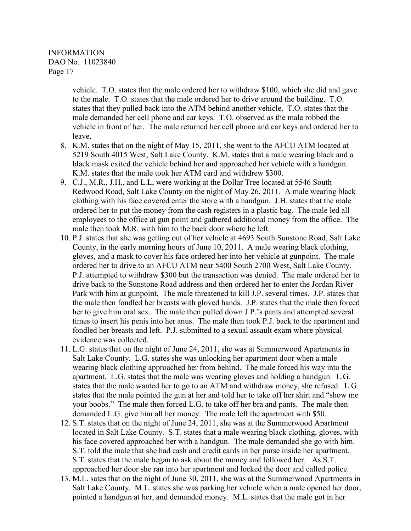> vehicle. T.O. states that the male ordered her to withdraw \$100, which she did and gave to the male. T.O. states that the male ordered her to drive around the building. T.O. states that they pulled back into the ATM behind another vehicle. T.O. states that the male demanded her cell phone and car keys. T.O. observed as the male robbed the vehicle in front of her. The male returned her cell phone and car keys and ordered her to leave.

- 8. K.M. states that on the night of May 15, 2011, she went to the AFCU ATM located at 5219 South 4015 West, Salt Lake County. K.M. states that a male wearing black and a black mask exited the vehicle behind her and approached her vehicle with a handgun. K.M. states that the male took her ATM card and withdrew \$300.
- 9. C.J., M.R., J.H., and L.L, were working at the Dollar Tree located at 5546 South Redwood Road, Salt Lake County on the night of May 26, 2011. A male wearing black clothing with his face covered enter the store with a handgun. J.H. states that the male ordered her to put the money from the cash registers in a plastic bag. The male led all employees to the office at gun point and gathered additional money from the office. The male then took M.R. with him to the back door where he left.
- 10. P.J. states that she was getting out of her vehicle at 4693 South Sunstone Road, Salt Lake County, in the early morning hours of June 10, 2011. A male wearing black clothing, gloves, and a mask to cover his face ordered her into her vehicle at gunpoint. The male ordered her to drive to an AFCU ATM near 5400 South 2700 West, Salt Lake County. P.J. attempted to withdraw \$300 but the transaction was denied. The male ordered her to drive back to the Sunstone Road address and then ordered her to enter the Jordan River Park with him at gunpoint. The male threatened to kill J.P. several times. J.P. states that the male then fondled her breasts with gloved hands. J.P. states that the male then forced her to give him oral sex. The male then pulled down J.P.'s pants and attempted several times to insert his penis into her anus. The male then took P.J. back to the apartment and fondled her breasts and left. P.J. submitted to a sexual assault exam where physical evidence was collected.
- 11. L.G. states that on the night of June 24, 2011, she was at Summerwood Apartments in Salt Lake County. L.G. states she was unlocking her apartment door when a male wearing black clothing approached her from behind. The male forced his way into the apartment. L.G. states that the male was wearing gloves and holding a handgun. L.G. states that the male wanted her to go to an ATM and withdraw money, she refused. L.G. states that the male pointed the gun at her and told her to take off her shirt and "show me your boobs." The male then forced L.G. to take off her bra and pants. The male then demanded L.G. give him all her money. The male left the apartment with \$50.
- 12. S.T. states that on the night of June 24, 2011, she was at the Summerwood Apartment located in Salt Lake County. S.T. states that a male wearing black clothing, gloves, with his face covered approached her with a handgun. The male demanded she go with him. S.T. told the male that she had cash and credit cards in her purse inside her apartment. S.T. states that the male began to ask about the money and followed her. As S.T. approached her door she ran into her apartment and locked the door and called police.
- 13. M.L. sates that on the night of June 30, 2011, she was at the Summerwood Apartments in Salt Lake County. M.L. states she was parking her vehicle when a male opened her door, pointed a handgun at her, and demanded money. M.L. states that the male got in her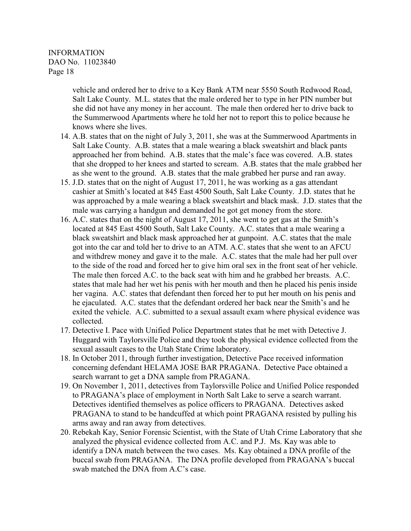vehicle and ordered her to drive to a Key Bank ATM near 5550 South Redwood Road, Salt Lake County. M.L. states that the male ordered her to type in her PIN number but she did not have any money in her account. The male then ordered her to drive back to the Summerwood Apartments where he told her not to report this to police because he knows where she lives.

- 14. A.B. states that on the night of July 3, 2011, she was at the Summerwood Apartments in Salt Lake County. A.B. states that a male wearing a black sweatshirt and black pants approached her from behind. A.B. states that the male's face was covered. A.B. states that she dropped to her knees and started to scream. A.B. states that the male grabbed her as she went to the ground. A.B. states that the male grabbed her purse and ran away.
- 15. J.D. states that on the night of August 17, 2011, he was working as a gas attendant cashier at Smith's located at 845 East 4500 South, Salt Lake County. J.D. states that he was approached by a male wearing a black sweatshirt and black mask. J.D. states that the male was carrying a handgun and demanded he got get money from the store.
- 16. A.C. states that on the night of August 17, 2011, she went to get gas at the Smith's located at 845 East 4500 South, Salt Lake County. A.C. states that a male wearing a black sweatshirt and black mask approached her at gunpoint. A.C. states that the male got into the car and told her to drive to an ATM. A.C. states that she went to an AFCU and withdrew money and gave it to the male. A.C. states that the male had her pull over to the side of the road and forced her to give him oral sex in the front seat of her vehicle. The male then forced A.C. to the back seat with him and he grabbed her breasts. A.C. states that male had her wet his penis with her mouth and then he placed his penis inside her vagina. A.C. states that defendant then forced her to put her mouth on his penis and he ejaculated. A.C. states that the defendant ordered her back near the Smith's and he exited the vehicle. A.C. submitted to a sexual assault exam where physical evidence was collected.
- 17. Detective I. Pace with Unified Police Department states that he met with Detective J. Huggard with Taylorsville Police and they took the physical evidence collected from the sexual assault cases to the Utah State Crime laboratory.
- 18. In October 2011, through further investigation, Detective Pace received information concerning defendant HELAMA JOSE BAR PRAGANA. Detective Pace obtained a search warrant to get a DNA sample from PRAGANA.
- 19. On November 1, 2011, detectives from Taylorsville Police and Unified Police responded to PRAGANA's place of employment in North Salt Lake to serve a search warrant. Detectives identified themselves as police officers to PRAGANA. Detectives asked PRAGANA to stand to be handcuffed at which point PRAGANA resisted by pulling his arms away and ran away from detectives.
- 20. Rebekah Kay, Senior Forensic Scientist, with the State of Utah Crime Laboratory that she analyzed the physical evidence collected from A.C. and P.J. Ms. Kay was able to identify a DNA match between the two cases. Ms. Kay obtained a DNA profile of the buccal swab from PRAGANA. The DNA profile developed from PRAGANA's buccal swab matched the DNA from A.C's case.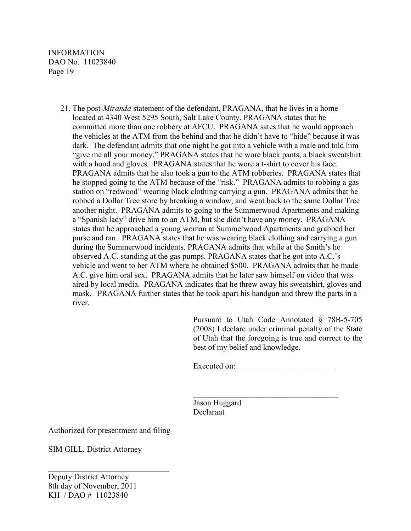> 21. The post-*Miranda* statement of the defendant, PRAGANA, that he lives in a home located at 4340 West 5295 South, Salt Lake County. PRAGANA states that he committed more than one robbery at AFCU. PRAGANA sates that he would approach the vehicles at the ATM from the behind and that he didn't have to "hide" because it was dark. The defendant admits that one night he got into a vehicle with a male and told him "give me all your money." PRAGANA states that he wore black pants, a black sweatshirt with a hood and gloves. PRAGANA states that he wore a t-shirt to cover his face. PRAGANA admits that he also took a gun to the ATM robberies. PRAGANA states that he stopped going to the ATM because of the "risk." PRAGANA admits to robbing a gas station on "redwood" wearing black clothing carrying a gun. PRAGANA admits that he robbed a Dollar Tree store by breaking a window, and went back to the same Dollar Tree another night. PRAGANA admits to going to the Summerwood Apartments and making a "Spanish lady" drive him to an ATM, but she didn't have any money. PRAGANA states that he approached a young woman at Summerwood Apartments and grabbed her purse and ran. PRAGANA states that he was wearing black clothing and carrying a gun during the Summerwood incidents. PRAGANA admits that while at the Smith's he observed A.C. standing at the gas pumps. PRAGANA states that he got into A.C.'s vehicle and went to her ATM where he obtained \$500. PRAGANA admits that he made A.C. give him oral sex. PRAGANA admits that he later saw himself on video that was aired by local media. PRAGANA indicates that he threw away his sweatshirt, gloves and mask. PRAGANA further states that he took apart his handgun and threw the parts in a river.

> > Pursuant to Utah Code Annotated § 78B-5-705 (2008) I declare under criminal penalty of the State of Utah that the foregoing is true and correct to the best of my belief and knowledge.

Executed on:

 Jason Huggard Declarant

 $\mathcal{L}_\text{max}$  , and the contract of the contract of the contract of the contract of the contract of the contract of

Authorized for presentment and filing

\_\_\_\_\_\_\_\_\_\_\_\_\_\_\_\_\_\_\_\_\_\_\_\_\_\_\_\_\_\_

SIM GILL, District Attorney

Deputy District Attorney 8th day of November, 2011 KH / DAO # 11023840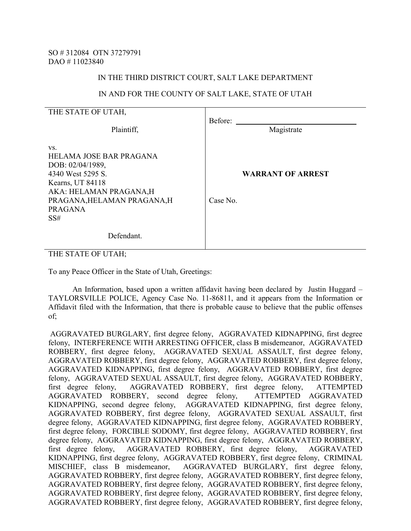#### IN THE THIRD DISTRICT COURT, SALT LAKE DEPARTMENT

#### IN AND FOR THE COUNTY OF SALT LAKE, STATE OF UTAH

| THE STATE OF UTAH.                                                                                                                                                            |                                      |
|-------------------------------------------------------------------------------------------------------------------------------------------------------------------------------|--------------------------------------|
| Plaintiff,                                                                                                                                                                    | Before:<br>Magistrate                |
| VS.<br>HELAMA JOSE BAR PRAGANA<br>DOB: 02/04/1989,<br>4340 West 5295 S.<br>Kearns, UT 84118<br>AKA: HELAMAN PRAGANA,H<br>PRAGANA, HELAMAN PRAGANA, H<br><b>PRAGANA</b><br>SS# | <b>WARRANT OF ARREST</b><br>Case No. |
| Defendant.                                                                                                                                                                    |                                      |

THE STATE OF UTAH;

To any Peace Officer in the State of Utah, Greetings:

 An Information, based upon a written affidavit having been declared by Justin Huggard – TAYLORSVILLE POLICE, Agency Case No. 11-86811, and it appears from the Information or Affidavit filed with the Information, that there is probable cause to believe that the public offenses of;

 AGGRAVATED BURGLARY, first degree felony, AGGRAVATED KIDNAPPING, first degree felony, INTERFERENCE WITH ARRESTING OFFICER, class B misdemeanor, AGGRAVATED ROBBERY, first degree felony, AGGRAVATED SEXUAL ASSAULT, first degree felony, AGGRAVATED ROBBERY, first degree felony, AGGRAVATED ROBBERY, first degree felony, AGGRAVATED KIDNAPPING, first degree felony, AGGRAVATED ROBBERY, first degree felony, AGGRAVATED SEXUAL ASSAULT, first degree felony, AGGRAVATED ROBBERY, first degree felony, AGGRAVATED ROBBERY, first degree felony, ATTEMPTED AGGRAVATED ROBBERY, second degree felony, KIDNAPPING, second degree felony, AGGRAVATED KIDNAPPING, first degree felony, AGGRAVATED ROBBERY, first degree felony, AGGRAVATED SEXUAL ASSAULT, first degree felony, AGGRAVATED KIDNAPPING, first degree felony, AGGRAVATED ROBBERY, first degree felony, FORCIBLE SODOMY, first degree felony, AGGRAVATED ROBBERY, first degree felony, AGGRAVATED KIDNAPPING, first degree felony, AGGRAVATED ROBBERY, first degree felony, AGGRAVATED ROBBERY, first degree felony, AGGRAVATED KIDNAPPING, first degree felony, AGGRAVATED ROBBERY, first degree felony, CRIMINAL MISCHIEF, class B misdemeanor, AGGRAVATED BURGLARY, first degree felony, AGGRAVATED ROBBERY, first degree felony, AGGRAVATED ROBBERY, first degree felony, AGGRAVATED ROBBERY, first degree felony, AGGRAVATED ROBBERY, first degree felony, AGGRAVATED ROBBERY, first degree felony, AGGRAVATED ROBBERY, first degree felony, AGGRAVATED ROBBERY, first degree felony, AGGRAVATED ROBBERY, first degree felony,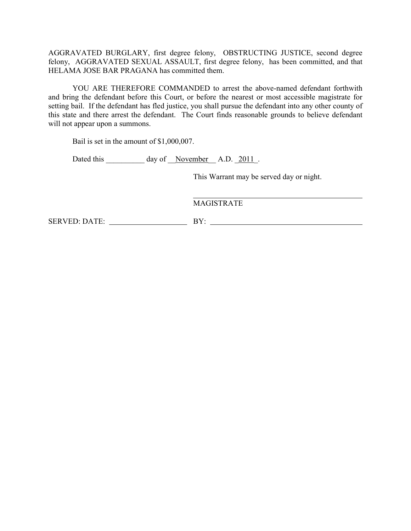AGGRAVATED BURGLARY, first degree felony, OBSTRUCTING JUSTICE, second degree felony, AGGRAVATED SEXUAL ASSAULT, first degree felony, has been committed, and that HELAMA JOSE BAR PRAGANA has committed them.

 YOU ARE THEREFORE COMMANDED to arrest the above-named defendant forthwith and bring the defendant before this Court, or before the nearest or most accessible magistrate for setting bail. If the defendant has fled justice, you shall pursue the defendant into any other county of this state and there arrest the defendant. The Court finds reasonable grounds to believe defendant will not appear upon a summons.

Bail is set in the amount of \$1,000,007.

Dated this day of November A.D. 2011.

This Warrant may be served day or night.

MAGISTRATE

SERVED: DATE: BY: BY: